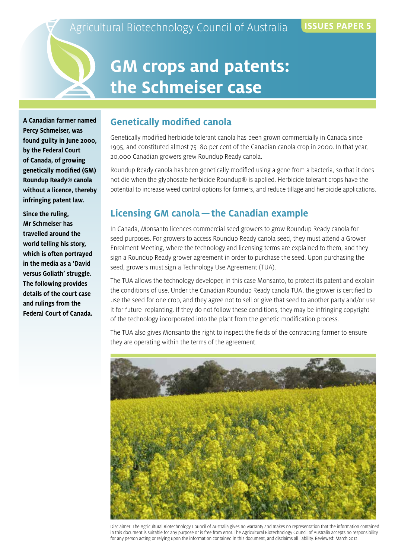## **GM crops and patents: the Schmeiser case**

**A Canadian farmer named Percy Schmeiser, was found guilty in June 2000, by the Federal Court of Canada, of growing genetically modified (GM) Roundup Ready® canola without a licence, thereby infringing patent law.**

**Since the ruling, Mr Schmeiser has travelled around the world telling his story, which is often portrayed in the media as a 'David versus Goliath' struggle. The following provides details of the court case and rulings from the Federal Court of Canada.** 

#### **Genetically modified canola**

Genetically modified herbicide tolerant canola has been grown commercially in Canada since 1995, and constituted almost 75–80 per cent of the Canadian canola crop in 2000. In that year, 20,000 Canadian growers grew Roundup Ready canola.

Roundup Ready canola has been genetically modified using a gene from a bacteria, so that it does not die when the glyphosate herbicide Roundup® is applied. Herbicide tolerant crops have the potential to increase weed control options for farmers, and reduce tillage and herbicide applications.

#### **Licensing GM canola—the Canadian example**

In Canada, Monsanto licences commercial seed growers to grow Roundup Ready canola for seed purposes. For growers to access Roundup Ready canola seed, they must attend a Grower Enrolment Meeting, where the technology and licensing terms are explained to them, and they sign a Roundup Ready grower agreement in order to purchase the seed. Upon purchasing the seed, growers must sign a Technology Use Agreement (TUA).

The TUA allows the technology developer, in this case Monsanto, to protect its patent and explain the conditions of use. Under the Canadian Roundup Ready canola TUA, the grower is certified to use the seed for one crop, and they agree not to sell or give that seed to another party and/or use it for future replanting. If they do not follow these conditions, they may be infringing copyright of the technology incorporated into the plant from the genetic modification process.

The TUA also gives Monsanto the right to inspect the fields of the contracting farmer to ensure they are operating within the terms of the agreement.



Disclaimer: The Agricultural Biotechnology Council of Australia gives no warranty and makes no representation that the information contained in this document is suitable for any purpose or is free from error. The Agricultural Biotechnology Council of Australia accepts no responsibility for any person acting or relying upon the information contained in this document, and disclaims all liability. Reviewed: March 2012.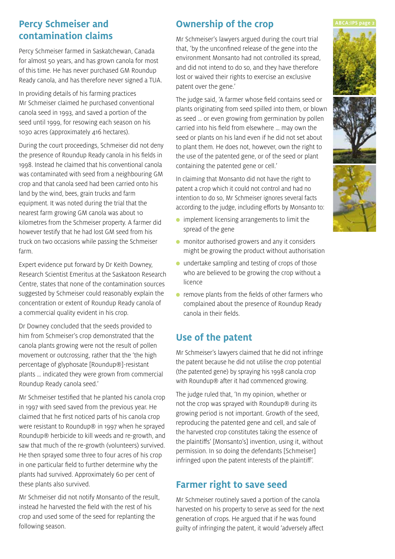# **contamination claims**

Percy Schmeiser farmed in Saskatchewan, Canada for almost 50 years, and has grown canola for most of this time. He has never purchased GM Roundup Ready canola, and has therefore never signed a TUA.

In providing details of his farming practices Mr Schmeiser claimed he purchased conventional canola seed in 1993, and saved a portion of the seed until 1999, for resowing each season on his 1030 acres (approximately 416 hectares).

During the court proceedings, Schmeiser did not deny the presence of Roundup Ready canola in his fields in 1998. Instead he claimed that his conventional canola was contaminated with seed from a neighbouring GM crop and that canola seed had been carried onto his land by the wind, bees, grain trucks and farm equipment. It was noted during the trial that the nearest farm growing GM canola was about 10 kilometres from the Schmeiser property. A farmer did however testify that he had lost GM seed from his truck on two occasions while passing the Schmeiser farm.

Expert evidence put forward by Dr Keith Downey, Research Scientist Emeritus at the Saskatoon Research Centre, states that none of the contamination sources suggested by Schmeiser could reasonably explain the concentration or extent of Roundup Ready canola of a commercial quality evident in his crop.

Dr Downey concluded that the seeds provided to him from Schmeiser's crop demonstrated that the canola plants growing were not the result of pollen movement or outcrossing, rather that the 'the high percentage of glyphosate [Roundup®]-resistant plants … indicated they were grown from commercial Roundup Ready canola seed.'

Mr Schmeiser testified that he planted his canola crop in 1997 with seed saved from the previous year. He claimed that he first noticed parts of his canola crop were resistant to Roundup® in 1997 when he sprayed Roundup® herbicide to kill weeds and re-growth, and saw that much of the re-growth (volunteers) survived. He then sprayed some three to four acres of his crop in one particular field to further determine why the plants had survived. Approximately 60 per cent of these plants also survived.

Mr Schmeiser did not notify Monsanto of the result, instead he harvested the field with the rest of his crop and used some of the seed for replanting the following season.

### **Percy Schmeiser and Connership of the crop** ABCA:IP5 page 2

Mr Schmeiser's lawyers argued during the court trial that, 'by the unconfined release of the gene into the environment Monsanto had not controlled its spread, and did not intend to do so, and they have therefore lost or waived their rights to exercise an exclusive patent over the gene.'

The judge said, 'A farmer whose field contains seed or plants originating from seed spilled into them, or blown as seed … or even growing from germination by pollen carried into his field from elsewhere … may own the seed or plants on his land even if he did not set about to plant them. He does not, however, own the right to the use of the patented gene, or of the seed or plant containing the patented gene or cell.'

In claiming that Monsanto did not have the right to patent a crop which it could not control and had no intention to do so, Mr Schmeiser ignores several facts according to the judge, including efforts by Monsanto to:

- implement licensing arrangements to limit the spread of the gene
- monitor authorised growers and any it considers might be growing the product without authorisation
- undertake sampling and testing of crops of those who are believed to be growing the crop without a licence
- remove plants from the fields of other farmers who complained about the presence of Roundup Ready canola in their fields.

#### **Use of the patent**

Mr Schmeiser's lawyers claimed that he did not infringe the patent because he did not utilise the crop potential (the patented gene) by spraying his 1998 canola crop with Roundup® after it had commenced growing.

The judge ruled that, 'In my opinion, whether or not the crop was sprayed with Roundup® during its growing period is not important. Growth of the seed, reproducing the patented gene and cell, and sale of the harvested crop constitutes taking the essence of the plaintiffs' [Monsanto's] invention, using it, without permission. In so doing the defendants [Schmeiser] infringed upon the patent interests of the plaintiff'.

#### **Farmer right to save seed**

Mr Schmeiser routinely saved a portion of the canola harvested on his property to serve as seed for the next generation of crops. He argued that if he was found guilty of infringing the patent, it would 'adversely affect